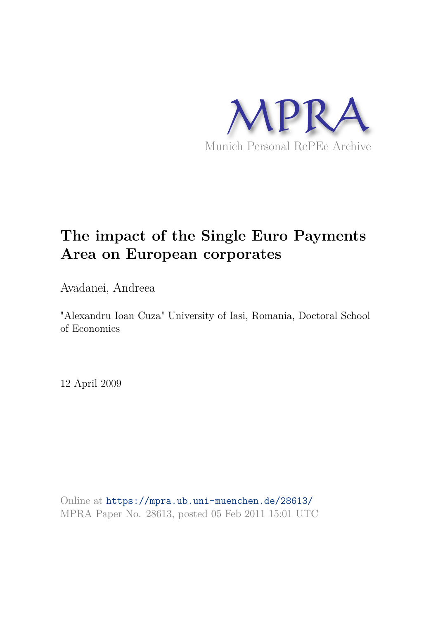

# **The impact of the Single Euro Payments Area on European corporates**

Avadanei, Andreea

"Alexandru Ioan Cuza" University of Iasi, Romania, Doctoral School of Economics

12 April 2009

Online at https://mpra.ub.uni-muenchen.de/28613/ MPRA Paper No. 28613, posted 05 Feb 2011 15:01 UTC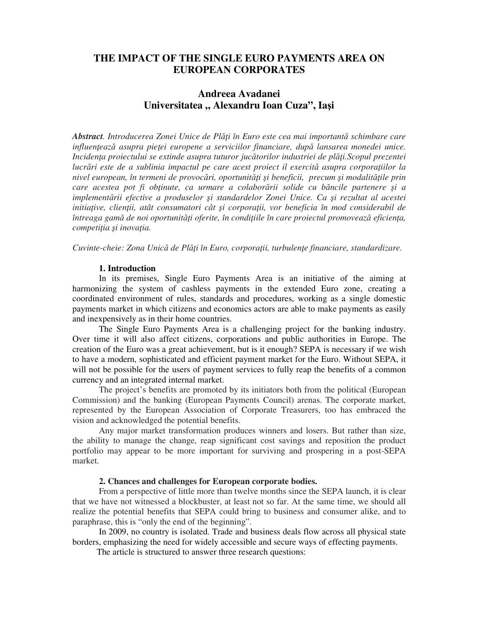# **THE IMPACT OF THE SINGLE EURO PAYMENTS AREA ON EUROPEAN CORPORATES**

# **Andreea Avadanei**  Universitatea " Alexandru Ioan Cuza", Iași

Abstract. Introducerea Zonei Unice de Plăți în Euro este cea mai importantă schimbare care influențează asupra pieței europene a serviciilor financiare, după lansarea monedei unice. Incidența proiectului se extinde asupra tuturor jucătorilor industriei de plăți. Scopul prezentei lucrări este de a sublinia impactul pe care acest proiect il exercită asupra corporațiilor la nivel european, în termeni de provocări, oportunități și beneficii, precum și modalitățile prin *care acestea pot fi ob*-*inute, ca urmare a colaborrii solide cu bncile partenere i a implementrii efective a produselor i standardelor Zonei Unice. Ca i rezultat al acestei*  initiațive, clienții, atât consumatori cât și corporații, vor beneficia în mod considerabil de întreaga gamă de noi oportunități oferite, în condițiile în care proiectul promovează eficiența, *competiția și inovația.* 

Cuvinte-cheie: Zona Unică de Plăți în Euro, corporații, turbulențe financiare, standardizare.

#### **1. Introduction**

In its premises, Single Euro Payments Area is an initiative of the aiming at harmonizing the system of cashless payments in the extended Euro zone, creating a coordinated environment of rules, standards and procedures, working as a single domestic payments market in which citizens and economics actors are able to make payments as easily and inexpensively as in their home countries.

The Single Euro Payments Area is a challenging project for the banking industry. Over time it will also affect citizens, corporations and public authorities in Europe. The creation of the Euro was a great achievement, but is it enough? SEPA is necessary if we wish to have a modern, sophisticated and efficient payment market for the Euro. Without SEPA, it will not be possible for the users of payment services to fully reap the benefits of a common currency and an integrated internal market.

The project's benefits are promoted by its initiators both from the political (European Commission) and the banking (European Payments Council) arenas. The corporate market, represented by the European Association of Corporate Treasurers, too has embraced the vision and acknowledged the potential benefits.

Any major market transformation produces winners and losers. But rather than size, the ability to manage the change, reap significant cost savings and reposition the product portfolio may appear to be more important for surviving and prospering in a post-SEPA market.

## **2. Chances and challenges for European corporate bodies.**

From a perspective of little more than twelve months since the SEPA launch, it is clear that we have not witnessed a blockbuster, at least not so far. At the same time, we should all realize the potential benefits that SEPA could bring to business and consumer alike, and to paraphrase, this is "only the end of the beginning".

In 2009, no country is isolated. Trade and business deals flow across all physical state borders, emphasizing the need for widely accessible and secure ways of effecting payments.

The article is structured to answer three research questions: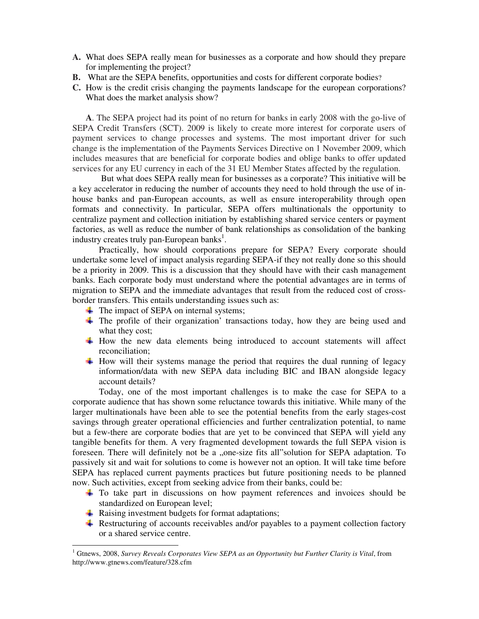- **A.** What does SEPA really mean for businesses as a corporate and how should they prepare for implementing the project?
- **B.** What are the SEPA benefits, opportunities and costs for different corporate bodies?
- **C.** How is the credit crisis changing the payments landscape for the european corporations? What does the market analysis show?

**A**. The SEPA project had its point of no return for banks in early 2008 with the go-live of SEPA Credit Transfers (SCT). 2009 is likely to create more interest for corporate users of payment services to change processes and systems. The most important driver for such change is the implementation of the Payments Services Directive on 1 November 2009, which includes measures that are beneficial for corporate bodies and oblige banks to offer updated services for any EU currency in each of the 31 EU Member States affected by the regulation.

 But what does SEPA really mean for businesses as a corporate? This initiative will be a key accelerator in reducing the number of accounts they need to hold through the use of inhouse banks and pan-European accounts, as well as ensure interoperability through open formats and connectivity. In particular, SEPA offers multinationals the opportunity to centralize payment and collection initiation by establishing shared service centers or payment factories, as well as reduce the number of bank relationships as consolidation of the banking industry creates truly pan-European banks<sup>1</sup>.

Practically, how should corporations prepare for SEPA? Every corporate should undertake some level of impact analysis regarding SEPA-if they not really done so this should be a priority in 2009. This is a discussion that they should have with their cash management banks. Each corporate body must understand where the potential advantages are in terms of migration to SEPA and the immediate advantages that result from the reduced cost of crossborder transfers. This entails understanding issues such as:

- The impact of SEPA on internal systems;
- $\pm$  The profile of their organization' transactions today, how they are being used and what they cost;
- $\ddot{\text{+}}$  How the new data elements being introduced to account statements will affect reconciliation;
- $\pm$  How will their systems manage the period that requires the dual running of legacy information/data with new SEPA data including BIC and IBAN alongside legacy account details?

Today, one of the most important challenges is to make the case for SEPA to a corporate audience that has shown some reluctance towards this initiative. While many of the larger multinationals have been able to see the potential benefits from the early stages-cost savings through greater operational efficiencies and further centralization potential, to name but a few-there are corporate bodies that are yet to be convinced that SEPA will yield any tangible benefits for them. A very fragmented development towards the full SEPA vision is foreseen. There will definitely not be a "one-size fits all"solution for SEPA adaptation. To passively sit and wait for solutions to come is however not an option. It will take time before SEPA has replaced current payments practices but future positioning needs to be planned now. Such activities, except from seeking advice from their banks, could be:

- To take part in discussions on how payment references and invoices should be standardized on European level;
- **A** Raising investment budgets for format adaptations;

 $\overline{a}$ 

 $\ddot{\text{R}}$  Restructuring of accounts receivables and/or payables to a payment collection factory or a shared service centre.

<sup>&</sup>lt;sup>1</sup> Gtnews, 2008, *Survey Reveals Corporates View SEPA as an Opportunity but Further Clarity is Vital, from* http://www.gtnews.com/feature/328.cfm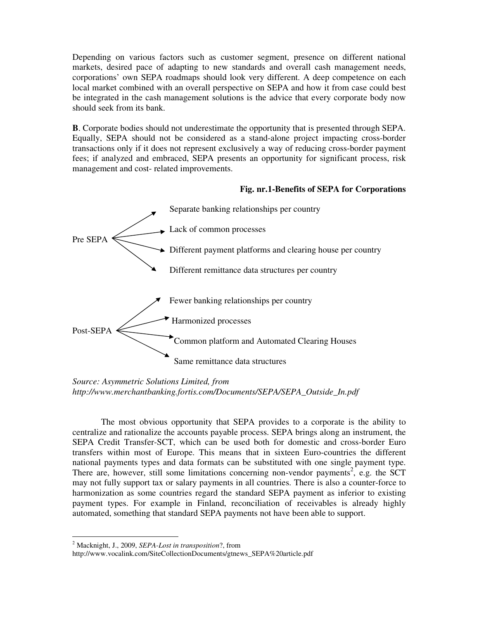Depending on various factors such as customer segment, presence on different national markets, desired pace of adapting to new standards and overall cash management needs, corporations' own SEPA roadmaps should look very different. A deep competence on each local market combined with an overall perspective on SEPA and how it from case could best be integrated in the cash management solutions is the advice that every corporate body now should seek from its bank.

**B**. Corporate bodies should not underestimate the opportunity that is presented through SEPA. Equally, SEPA should not be considered as a stand-alone project impacting cross-border transactions only if it does not represent exclusively a way of reducing cross-border payment fees; if analyzed and embraced, SEPA presents an opportunity for significant process, risk management and cost- related improvements.

## **Fig. nr.1-Benefits of SEPA for Corporations**



*Source: Asymmetric Solutions Limited, from http://www.merchantbanking.fortis.com/Documents/SEPA/SEPA\_Outside\_In.pdf* 

 The most obvious opportunity that SEPA provides to a corporate is the ability to centralize and rationalize the accounts payable process. SEPA brings along an instrument, the SEPA Credit Transfer-SCT, which can be used both for domestic and cross-border Euro transfers within most of Europe. This means that in sixteen Euro-countries the different national payments types and data formats can be substituted with one single payment type. There are, however, still some limitations concerning non-vendor payments<sup>2</sup>, e.g. the SCT may not fully support tax or salary payments in all countries. There is also a counter-force to harmonization as some countries regard the standard SEPA payment as inferior to existing payment types. For example in Finland, reconciliation of receivables is already highly automated, something that standard SEPA payments not have been able to support.

 $\overline{a}$ 

<sup>2</sup> Macknight, J., 2009, *SEPA-Lost in transposition*?, from

http://www.vocalink.com/SiteCollectionDocuments/gtnews\_SEPA%20article.pdf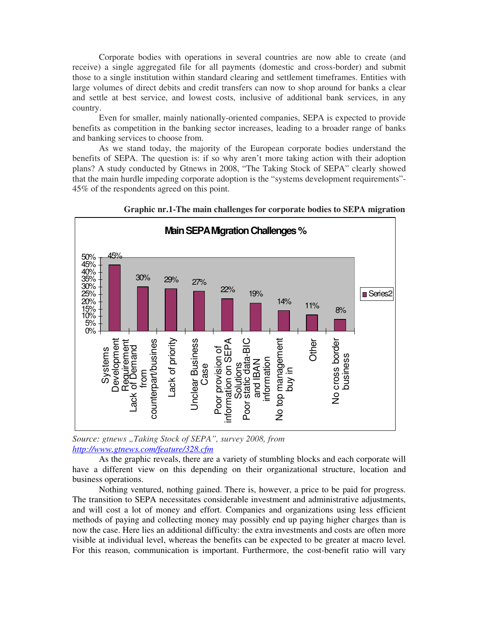Corporate bodies with operations in several countries are now able to create (and receive) a single aggregated file for all payments (domestic and cross-border) and submit those to a single institution within standard clearing and settlement timeframes. Entities with large volumes of direct debits and credit transfers can now to shop around for banks a clear and settle at best service, and lowest costs, inclusive of additional bank services, in any country.

Even for smaller, mainly nationally-oriented companies, SEPA is expected to provide benefits as competition in the banking sector increases, leading to a broader range of banks and banking services to choose from.

As we stand today, the majority of the European corporate bodies understand the benefits of SEPA. The question is: if so why aren't more taking action with their adoption plans? A study conducted by Gtnews in 2008, "The Taking Stock of SEPA" clearly showed that the main hurdle impeding corporate adoption is the "systems development requirements"- 45% of the respondents agreed on this point.



**Graphic nr.1-The main challenges for corporate bodies to SEPA migration** 

*Source: gtnews "Taking Stock of SEPA", survey 2008, from http://www.gtnews.com/feature/328.cfm*

As the graphic reveals, there are a variety of stumbling blocks and each corporate will have a different view on this depending on their organizational structure, location and business operations.

Nothing ventured, nothing gained. There is, however, a price to be paid for progress. The transition to SEPA necessitates considerable investment and administrative adjustments, and will cost a lot of money and effort. Companies and organizations using less efficient methods of paying and collecting money may possibly end up paying higher charges than is now the case. Here lies an additional difficulty: the extra investments and costs are often more visible at individual level, whereas the benefits can be expected to be greater at macro level. For this reason, communication is important. Furthermore, the cost-benefit ratio will vary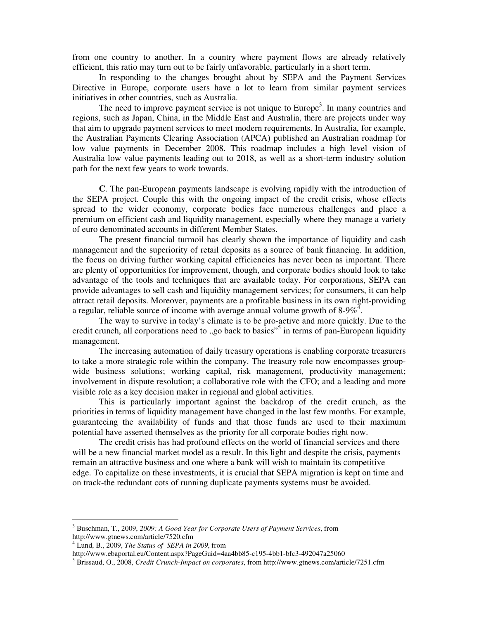from one country to another. In a country where payment flows are already relatively efficient, this ratio may turn out to be fairly unfavorable, particularly in a short term.

In responding to the changes brought about by SEPA and the Payment Services Directive in Europe, corporate users have a lot to learn from similar payment services initiatives in other countries, such as Australia.

The need to improve payment service is not unique to Europe<sup>3</sup>. In many countries and regions, such as Japan, China, in the Middle East and Australia, there are projects under way that aim to upgrade payment services to meet modern requirements. In Australia, for example, the Australian Payments Clearing Association (APCA) published an Australian roadmap for low value payments in December 2008. This roadmap includes a high level vision of Australia low value payments leading out to 2018, as well as a short-term industry solution path for the next few years to work towards.

**C**. The pan-European payments landscape is evolving rapidly with the introduction of the SEPA project. Couple this with the ongoing impact of the credit crisis, whose effects spread to the wider economy, corporate bodies face numerous challenges and place a premium on efficient cash and liquidity management, especially where they manage a variety of euro denominated accounts in different Member States.

The present financial turmoil has clearly shown the importance of liquidity and cash management and the superiority of retail deposits as a source of bank financing. In addition, the focus on driving further working capital efficiencies has never been as important. There are plenty of opportunities for improvement, though, and corporate bodies should look to take advantage of the tools and techniques that are available today. For corporations, SEPA can provide advantages to sell cash and liquidity management services; for consumers, it can help attract retail deposits. Moreover, payments are a profitable business in its own right-providing a regular, reliable source of income with average annual volume growth of  $8-9\%$ <sup>4</sup>.

The way to survive in today's climate is to be pro-active and more quickly. Due to the credit crunch, all corporations need to "go back to basics"<sup>5</sup> in terms of pan-European liquidity management.

The increasing automation of daily treasury operations is enabling corporate treasurers to take a more strategic role within the company. The treasury role now encompasses groupwide business solutions; working capital, risk management, productivity management; involvement in dispute resolution; a collaborative role with the CFO; and a leading and more visible role as a key decision maker in regional and global activities.

 This is particularly important against the backdrop of the credit crunch, as the priorities in terms of liquidity management have changed in the last few months. For example, guaranteeing the availability of funds and that those funds are used to their maximum potential have asserted themselves as the priority for all corporate bodies right now.

The credit crisis has had profound effects on the world of financial services and there will be a new financial market model as a result. In this light and despite the crisis, payments remain an attractive business and one where a bank will wish to maintain its competitive edge. To capitalize on these investments, it is crucial that SEPA migration is kept on time and on track-the redundant cots of running duplicate payments systems must be avoided.

 $\overline{a}$ 

<sup>3</sup> Buschman, T., 2009, *2009: A Good Year for Corporate Users of Payment Services*, from http://www.gtnews.com/article/7520.cfm

<sup>4</sup> Lund, B., 2009, *The Status of SEPA in 2009*, from

http://www.ebaportal.eu/Content.aspx?PageGuid=4aa4bb85-c195-4bb1-bfc3-492047a25060

<sup>5</sup> Brissaud, O., 2008, *Credit Crunch-Impact on corporates*, from http://www.gtnews.com/article/7251.cfm